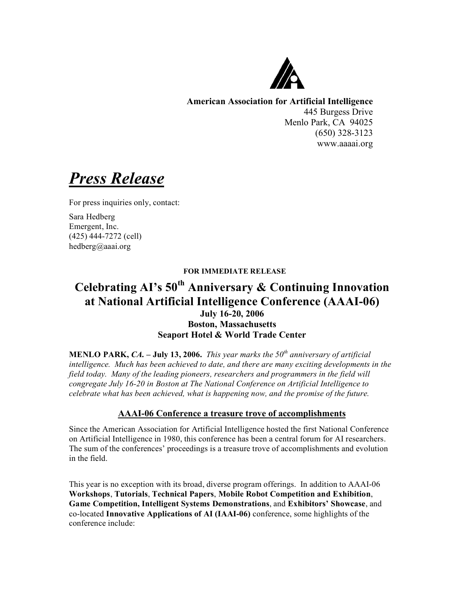

**American Association for Artificial Intelligence** 445 Burgess Drive Menlo Park, CA 94025 (650) 328-3123 www.aaaai.org

*Press Release*

For press inquiries only, contact:

Sara Hedberg Emergent, Inc. (425) 444-7272 (cell) hedberg@aaai.org

### **FOR IMMEDIATE RELEASE**

# **Celebrating AI's 50th Anniversary & Continuing Innovation at National Artificial Intelligence Conference (AAAI-06) July 16-20, 2006 Boston, Massachusetts Seaport Hotel & World Trade Center**

**MENLO PARK,** *CA.* **– July 13, 2006.** *This year marks the 50th anniversary of artificial intelligence. Much has been achieved to date, and there are many exciting developments in the field today. Many of the leading pioneers, researchers and programmers in the field will congregate July 16-20 in Boston at The National Conference on Artificial Intelligence to celebrate what has been achieved, what is happening now, and the promise of the future.*

## **AAAI-06 Conference a treasure trove of accomplishments**

Since the American Association for Artificial Intelligence hosted the first National Conference on Artificial Intelligence in 1980, this conference has been a central forum for AI researchers. The sum of the conferences' proceedings is a treasure trove of accomplishments and evolution in the field.

This year is no exception with its broad, diverse program offerings. In addition to AAAI-06 **Workshops**, **Tutorials**, **Technical Papers**, **Mobile Robot Competition and Exhibition**, **Game Competition, Intelligent Systems Demonstrations**, and **Exhibitors' Showcase**, and co-located **Innovative Applications of AI (IAAI-06)** conference, some highlights of the conference include: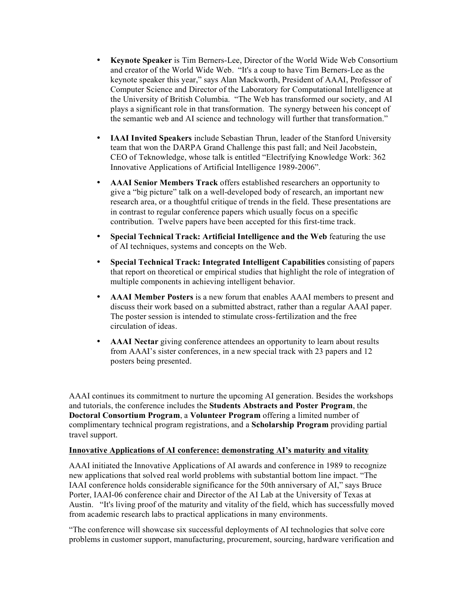- **Keynote Speaker** is Tim Berners-Lee, Director of the World Wide Web Consortium and creator of the World Wide Web. "It's a coup to have Tim Berners-Lee as the keynote speaker this year," says Alan Mackworth, President of AAAI, Professor of Computer Science and Director of the Laboratory for Computational Intelligence at the University of British Columbia. "The Web has transformed our society, and AI plays a significant role in that transformation. The synergy between his concept of the semantic web and AI science and technology will further that transformation."
- **IAAI Invited Speakers** include Sebastian Thrun, leader of the Stanford University team that won the DARPA Grand Challenge this past fall; and Neil Jacobstein, CEO of Teknowledge, whose talk is entitled "Electrifying Knowledge Work: 362 Innovative Applications of Artificial Intelligence 1989-2006".
- **AAAI Senior Members Track** offers established researchers an opportunity to give a "big picture" talk on a well-developed body of research, an important new research area, or a thoughtful critique of trends in the field. These presentations are in contrast to regular conference papers which usually focus on a specific contribution. Twelve papers have been accepted for this first-time track.
- **Special Technical Track: Artificial Intelligence and the Web** featuring the use of AI techniques, systems and concepts on the Web.
- **Special Technical Track: Integrated Intelligent Capabilities** consisting of papers that report on theoretical or empirical studies that highlight the role of integration of multiple components in achieving intelligent behavior.
- **AAAI Member Posters** is a new forum that enables AAAI members to present and discuss their work based on a submitted abstract, rather than a regular AAAI paper. The poster session is intended to stimulate cross-fertilization and the free circulation of ideas.
- **AAAI Nectar** giving conference attendees an opportunity to learn about results from AAAI's sister conferences, in a new special track with 23 papers and 12 posters being presented.

AAAI continues its commitment to nurture the upcoming AI generation. Besides the workshops and tutorials, the conference includes the **Students Abstracts and Poster Program**, the **Doctoral Consortium Program**, a **Volunteer Program** offering a limited number of complimentary technical program registrations, and a **Scholarship Program** providing partial travel support.

## **Innovative Applications of AI conference: demonstrating AI's maturity and vitality**

AAAI initiated the Innovative Applications of AI awards and conference in 1989 to recognize new applications that solved real world problems with substantial bottom line impact. "The IAAI conference holds considerable significance for the 50th anniversary of AI," says Bruce Porter, IAAI-06 conference chair and Director of the AI Lab at the University of Texas at Austin. "It's living proof of the maturity and vitality of the field, which has successfully moved from academic research labs to practical applications in many environments.

"The conference will showcase six successful deployments of AI technologies that solve core problems in customer support, manufacturing, procurement, sourcing, hardware verification and